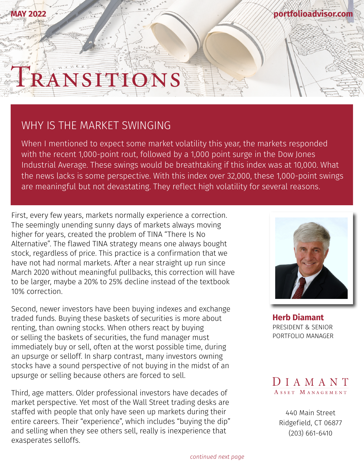## RANSITIS

## WHY IS THE MARKET SWINGING

**MAY 2022**

When I mentioned to expect some market volatility this year, the markets responded with the recent 1,000-point rout, followed by a 1,000 point surge in the Dow Jones Industrial Average. These swings would be breathtaking if this index was at 10,000. What the news lacks is some perspective. With this index over 32,000, these 1,000-point swings are meaningful but not devastating. They reflect high volatility for several reasons.

First, every few years, markets normally experience a correction. The seemingly unending sunny days of markets always moving higher for years, created the problem of TINA "There Is No Alternative". The flawed TINA strategy means one always bought stock, regardless of price. This practice is a confirmation that we have not had normal markets. After a near straight up run since March 2020 without meaningful pullbacks, this correction will have to be larger, maybe a 20% to 25% decline instead of the textbook 10% correction.

Second, newer investors have been buying indexes and exchange traded funds. Buying these baskets of securities is more about renting, than owning stocks. When others react by buying or selling the baskets of securities, the fund manager must immediately buy or sell, often at the worst possible time, during an upsurge or selloff. In sharp contrast, many investors owning stocks have a sound perspective of not buying in the midst of an upsurge or selling because others are forced to sell.

Third, age matters. Older professional investors have decades of market perspective. Yet most of the Wall Street trading desks are staffed with people that only have seen up markets during their entire careers. Their "experience", which includes "buying the dip" and selling when they see others sell, really is inexperience that exasperates selloffs.



**[portfolioadvisor.com](http://portfolioadvisor.com)**

**[Herb Diamant](http://portfolioadvisor.com/team)** PRESIDENT & SENIOR PORTFOLIO MANAGER



[440 Main Street](http://www.portfolioadvisor.com) Ridgefield, CT 06877 (203) 661-6410